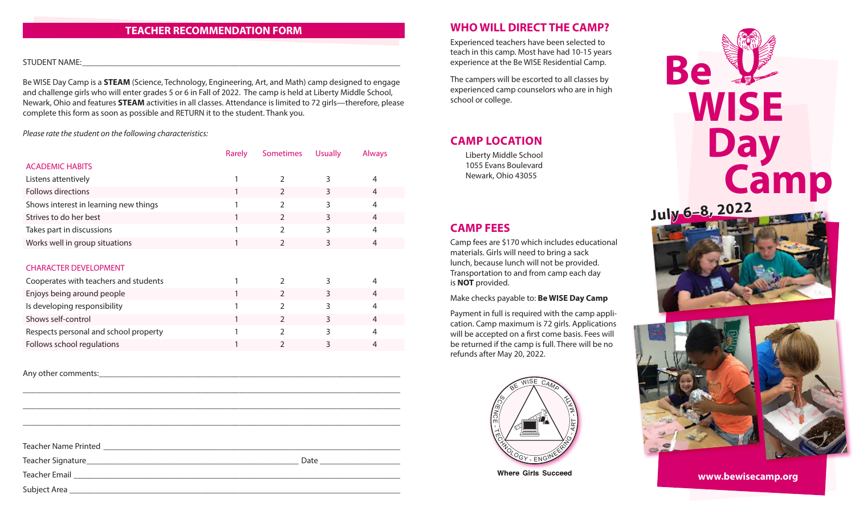### **TEACHER RECOMMENDATION FORM**

#### STUDENT NAME:

Be WISE Day Camp is a **STEAM** (Science, Technology, Engineering, Art, and Math) camp designed to engage and challenge girls who will enter grades 5 or 6 in Fall of 2022. The camp is held at Liberty Middle School, Newark, Ohio and features **STEAM** activities in all classes. Attendance is limited to 72 girls—therefore, please complete this form as soon as possible and RETURN it to the student. Thank you.

*Please rate the student on the following characteristics:*

|                                       | Rarely | <b>Sometimes</b> | <b>Usually</b> | <b>Always</b> |
|---------------------------------------|--------|------------------|----------------|---------------|
| <b>ACADEMIC HABITS</b>                |        |                  |                |               |
| Listens attentively                   |        |                  |                |               |
| Follows directions                    |        |                  |                |               |
| Shows interest in learning new things |        |                  |                | 4             |
| Strives to do her best                |        |                  |                | 4             |
| Takes part in discussions             |        |                  |                | 4             |
| Works well in group situations        |        |                  |                |               |

### CHARACTER DEVELOPMENT

| Cooperates with teachers and students |  |  |
|---------------------------------------|--|--|
| Enjoys being around people            |  |  |
| Is developing responsibility          |  |  |
| Shows self-control                    |  |  |
| Respects personal and school property |  |  |
| Follows school regulations            |  |  |

Any other comments:

 $\_$  ,  $\_$  ,  $\_$  ,  $\_$  ,  $\_$  ,  $\_$  ,  $\_$  ,  $\_$  ,  $\_$  ,  $\_$  ,  $\_$  ,  $\_$  ,  $\_$  ,  $\_$  ,  $\_$  ,  $\_$  ,  $\_$  ,  $\_$  ,  $\_$  ,  $\_$  ,  $\_$  ,  $\_$  ,  $\_$  ,  $\_$  ,  $\_$  ,  $\_$  ,  $\_$  ,  $\_$  ,  $\_$  ,  $\_$  ,  $\_$  ,  $\_$  ,  $\_$  ,  $\_$  ,  $\_$  ,  $\_$  ,  $\_$  ,

### **WHO WILL DIRECT THE CAMP?**

Experienced teachers have been selected to teach in this camp. Most have had 10-15 years experience at the Be WISE Residential Camp.

The campers will be escorted to all classes by experienced camp counselors who are in high school or college.

## **CAMP LOCATION**

Liberty Middle School 1055 Evans Boulevard Newark, Ohio 43055

## **CAMP FEES**

Camp fees are \$170 which includes educational materials. Girls will need to bring a sack lunch, because lunch will not be provided. Transportation to and from camp each day is **NOT** provided.

Make checks payable to: **Be WISE Day Camp**

Payment in full is required with the camp application. Camp maximum is 72 girls. Applications will be accepted on a first come basis. Fees will be returned if the camp is full. There will be no refunds after May 20, 2022.



**Where Girls Succeed**